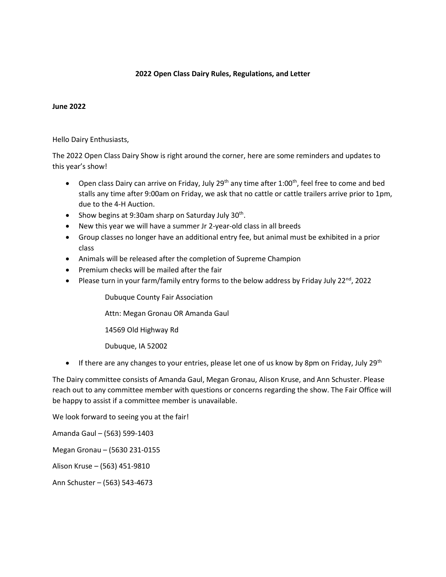### **2022 Open Class Dairy Rules, Regulations, and Letter**

#### **June 2022**

Hello Dairy Enthusiasts,

The 2022 Open Class Dairy Show is right around the corner, here are some reminders and updates to this year's show!

- Open class Dairy can arrive on Friday, July 29<sup>th</sup> any time after 1:00<sup>th</sup>, feel free to come and bed stalls any time after 9:00am on Friday, we ask that no cattle or cattle trailers arrive prior to 1pm, due to the 4-H Auction.
- Show begins at 9:30am sharp on Saturday July  $30<sup>th</sup>$ .
- New this year we will have a summer Jr 2-year-old class in all breeds
- Group classes no longer have an additional entry fee, but animal must be exhibited in a prior class
- Animals will be released after the completion of Supreme Champion
- Premium checks will be mailed after the fair
- Please turn in your farm/family entry forms to the below address by Friday July 22<sup>nd</sup>, 2022

Dubuque County Fair Association

Attn: Megan Gronau OR Amanda Gaul

14569 Old Highway Rd

Dubuque, IA 52002

• If there are any changes to your entries, please let one of us know by 8pm on Friday, July 29<sup>th</sup>

The Dairy committee consists of Amanda Gaul, Megan Gronau, Alison Kruse, and Ann Schuster. Please reach out to any committee member with questions or concerns regarding the show. The Fair Office will be happy to assist if a committee member is unavailable.

We look forward to seeing you at the fair!

Amanda Gaul – (563) 599-1403

Megan Gronau – (5630 231-0155

Alison Kruse – (563) 451-9810

Ann Schuster – (563) 543-4673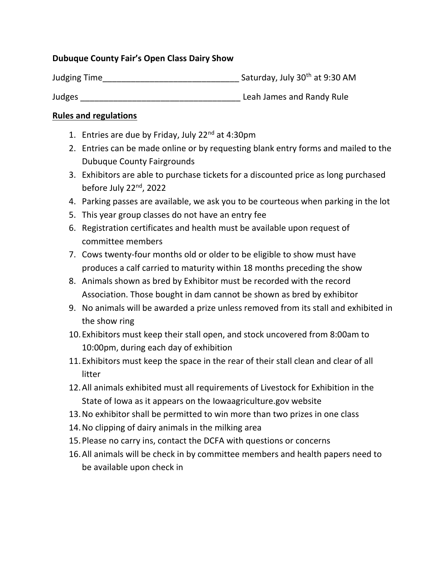# **Dubuque County Fair's Open Class Dairy Show**

Judging Time\_\_\_\_\_\_\_\_\_\_\_\_\_\_\_\_\_\_\_\_\_\_\_\_\_\_\_\_\_ Saturday, July 30th at 9:30 AM

Judges \_\_\_\_\_\_\_\_\_\_\_\_\_\_\_\_\_\_\_\_\_\_\_\_\_\_\_\_\_\_\_\_\_\_ Leah James and Randy Rule

# **Rules and regulations**

- 1. Entries are due by Friday, July 22<sup>nd</sup> at 4:30pm
- 2. Entries can be made online or by requesting blank entry forms and mailed to the Dubuque County Fairgrounds
- 3. Exhibitors are able to purchase tickets for a discounted price as long purchased before July  $22<sup>nd</sup>$ , 2022
- 4. Parking passes are available, we ask you to be courteous when parking in the lot
- 5. This year group classes do not have an entry fee
- 6. Registration certificates and health must be available upon request of committee members
- 7. Cows twenty-four months old or older to be eligible to show must have produces a calf carried to maturity within 18 months preceding the show
- 8. Animals shown as bred by Exhibitor must be recorded with the record Association. Those bought in dam cannot be shown as bred by exhibitor
- 9. No animals will be awarded a prize unless removed from its stall and exhibited in the show ring
- 10.Exhibitors must keep their stall open, and stock uncovered from 8:00am to 10:00pm, during each day of exhibition
- 11.Exhibitors must keep the space in the rear of their stall clean and clear of all litter
- 12.All animals exhibited must all requirements of Livestock for Exhibition in the State of Iowa as it appears on the Iowaagriculture.gov website
- 13.No exhibitor shall be permitted to win more than two prizes in one class
- 14.No clipping of dairy animals in the milking area
- 15.Please no carry ins, contact the DCFA with questions or concerns
- 16.All animals will be check in by committee members and health papers need to be available upon check in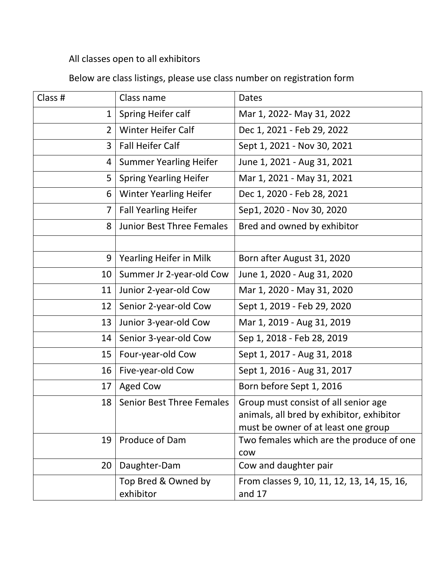All classes open to all exhibitors

Below are class listings, please use class number on registration form

| Class #        | Class name                       | Dates                                                                                                                    |  |
|----------------|----------------------------------|--------------------------------------------------------------------------------------------------------------------------|--|
| 1              | Spring Heifer calf               | Mar 1, 2022- May 31, 2022                                                                                                |  |
| $\overline{2}$ | <b>Winter Heifer Calf</b>        | Dec 1, 2021 - Feb 29, 2022                                                                                               |  |
| 3              | <b>Fall Heifer Calf</b>          | Sept 1, 2021 - Nov 30, 2021                                                                                              |  |
| 4              | <b>Summer Yearling Heifer</b>    | June 1, 2021 - Aug 31, 2021                                                                                              |  |
| 5              | <b>Spring Yearling Heifer</b>    | Mar 1, 2021 - May 31, 2021                                                                                               |  |
| 6              | <b>Winter Yearling Heifer</b>    | Dec 1, 2020 - Feb 28, 2021                                                                                               |  |
| $\overline{7}$ | <b>Fall Yearling Heifer</b>      | Sep1, 2020 - Nov 30, 2020                                                                                                |  |
| 8              | <b>Junior Best Three Females</b> | Bred and owned by exhibitor                                                                                              |  |
|                |                                  |                                                                                                                          |  |
| 9              | Yearling Heifer in Milk          | Born after August 31, 2020                                                                                               |  |
| 10             | Summer Jr 2-year-old Cow         | June 1, 2020 - Aug 31, 2020                                                                                              |  |
| 11             | Junior 2-year-old Cow            | Mar 1, 2020 - May 31, 2020                                                                                               |  |
| 12             | Senior 2-year-old Cow            | Sept 1, 2019 - Feb 29, 2020                                                                                              |  |
| 13             | Junior 3-year-old Cow            | Mar 1, 2019 - Aug 31, 2019                                                                                               |  |
| 14             | Senior 3-year-old Cow            | Sep 1, 2018 - Feb 28, 2019                                                                                               |  |
| 15             | Four-year-old Cow                | Sept 1, 2017 - Aug 31, 2018                                                                                              |  |
| 16             | Five-year-old Cow                | Sept 1, 2016 - Aug 31, 2017                                                                                              |  |
| 17             | <b>Aged Cow</b>                  | Born before Sept 1, 2016                                                                                                 |  |
| 18             | <b>Senior Best Three Females</b> | Group must consist of all senior age<br>animals, all bred by exhibitor, exhibitor<br>must be owner of at least one group |  |
| 19             | Produce of Dam                   | Two females which are the produce of one<br><b>COW</b>                                                                   |  |
| 20             | Daughter-Dam                     | Cow and daughter pair                                                                                                    |  |
|                | Top Bred & Owned by<br>exhibitor | From classes 9, 10, 11, 12, 13, 14, 15, 16,<br>and 17                                                                    |  |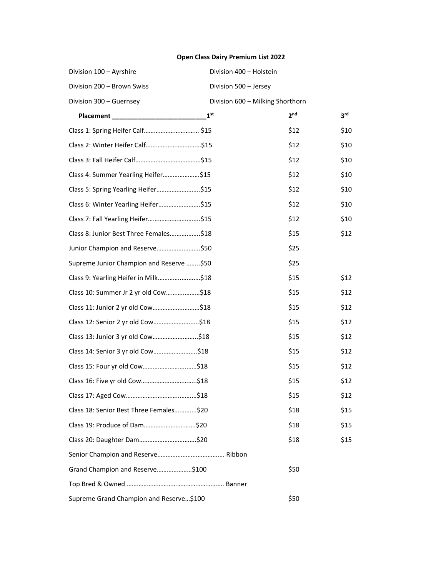## **Open Class Dairy Premium List 2022**

| Division 100 - Ayrshire                  | Division 400 - Holstein          |                 |                 |
|------------------------------------------|----------------------------------|-----------------|-----------------|
| Division 200 - Brown Swiss               | Division 500 - Jersey            |                 |                 |
| Division 300 - Guernsey                  | Division 600 - Milking Shorthorn |                 |                 |
|                                          | 1 <sup>st</sup>                  | 2 <sup>nd</sup> | 3 <sup>rd</sup> |
|                                          |                                  | \$12            | \$10            |
| Class 2: Winter Heifer Calf\$15          |                                  | \$12            | \$10            |
|                                          |                                  | \$12            | \$10            |
| Class 4: Summer Yearling Heifer\$15      |                                  | \$12            | \$10            |
| Class 5: Spring Yearling Heifer\$15      |                                  | \$12            | \$10            |
| Class 6: Winter Yearling Heifer\$15      |                                  | \$12            | \$10            |
| Class 7: Fall Yearling Heifer\$15        |                                  | \$12            | \$10            |
| Class 8: Junior Best Three Females\$18   |                                  | \$15            | \$12            |
| Junior Champion and Reserve\$50          |                                  | \$25            |                 |
| Supreme Junior Champion and Reserve \$50 |                                  | \$25            |                 |
| Class 9: Yearling Heifer in Milk\$18     |                                  | \$15            | \$12            |
| Class 10: Summer Jr 2 yr old Cow\$18     |                                  | \$15            | \$12            |
| Class 11: Junior 2 yr old Cow\$18        |                                  | \$15            | \$12            |
| Class 12: Senior 2 yr old Cow\$18        |                                  | \$15            | \$12            |
| Class 13: Junior 3 yr old Cow\$18        |                                  | \$15            | \$12            |
| Class 14: Senior 3 yr old Cow\$18        |                                  | \$15            | \$12            |
| Class 15: Four yr old Cow\$18            |                                  | \$15            | \$12            |
|                                          |                                  | \$15            | \$12            |
|                                          |                                  | \$15            | \$12            |
| Class 18: Senior Best Three Females\$20  |                                  | \$18            | \$15            |
| Class 19: Produce of Dam\$20             |                                  | \$18            | \$15            |
| Class 20: Daughter Dam\$20               |                                  | \$18            | \$15            |
|                                          |                                  |                 |                 |
| Grand Champion and Reserve\$100          |                                  | \$50            |                 |
|                                          |                                  |                 |                 |
| Supreme Grand Champion and Reserve\$100  |                                  | \$50            |                 |